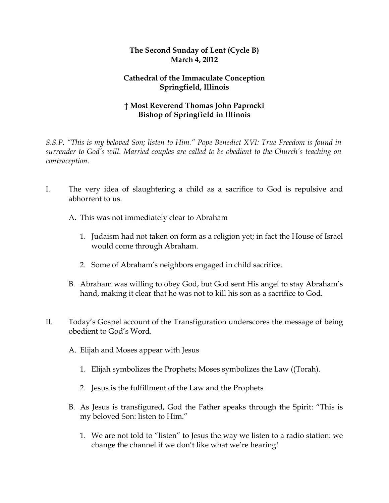## **The Second Sunday of Lent (Cycle B) March 4, 2012**

## **Cathedral of the Immaculate Conception Springfield, Illinois**

## **† Most Reverend Thomas John Paprocki Bishop of Springfield in Illinois**

*S.S.P. "This is my beloved Son; listen to Him." Pope Benedict XVI: True Freedom is found in surrender to God's will. Married couples are called to be obedient to the Church's teaching on contraception.*

- I. The very idea of slaughtering a child as a sacrifice to God is repulsive and abhorrent to us.
	- A. This was not immediately clear to Abraham
		- 1. Judaism had not taken on form as a religion yet; in fact the House of Israel would come through Abraham.
		- 2. Some of Abraham's neighbors engaged in child sacrifice.
	- B. Abraham was willing to obey God, but God sent His angel to stay Abraham's hand, making it clear that he was not to kill his son as a sacrifice to God.
- II. Today's Gospel account of the Transfiguration underscores the message of being obedient to God's Word.
	- A. Elijah and Moses appear with Jesus
		- 1. Elijah symbolizes the Prophets; Moses symbolizes the Law ((Torah).
		- 2. Jesus is the fulfillment of the Law and the Prophets
	- B. As Jesus is transfigured, God the Father speaks through the Spirit: "This is my beloved Son: listen to Him."
		- 1. We are not told to "listen" to Jesus the way we listen to a radio station: we change the channel if we don't like what we're hearing!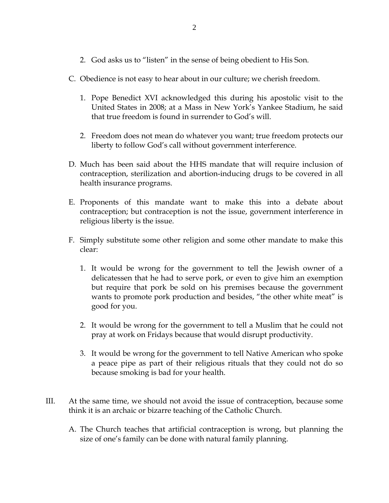- 2. God asks us to "listen" in the sense of being obedient to His Son.
- C. Obedience is not easy to hear about in our culture; we cherish freedom.
	- 1. Pope Benedict XVI acknowledged this during his apostolic visit to the United States in 2008; at a Mass in New York's Yankee Stadium, he said that true freedom is found in surrender to God's will.
	- 2. Freedom does not mean do whatever you want; true freedom protects our liberty to follow God's call without government interference.
- D. Much has been said about the HHS mandate that will require inclusion of contraception, sterilization and abortion-inducing drugs to be covered in all health insurance programs.
- E. Proponents of this mandate want to make this into a debate about contraception; but contraception is not the issue, government interference in religious liberty is the issue.
- F. Simply substitute some other religion and some other mandate to make this clear:
	- 1. It would be wrong for the government to tell the Jewish owner of a delicatessen that he had to serve pork, or even to give him an exemption but require that pork be sold on his premises because the government wants to promote pork production and besides, "the other white meat" is good for you.
	- 2. It would be wrong for the government to tell a Muslim that he could not pray at work on Fridays because that would disrupt productivity.
	- 3. It would be wrong for the government to tell Native American who spoke a peace pipe as part of their religious rituals that they could not do so because smoking is bad for your health.
- III. At the same time, we should not avoid the issue of contraception, because some think it is an archaic or bizarre teaching of the Catholic Church.
	- A. The Church teaches that artificial contraception is wrong, but planning the size of one's family can be done with natural family planning.